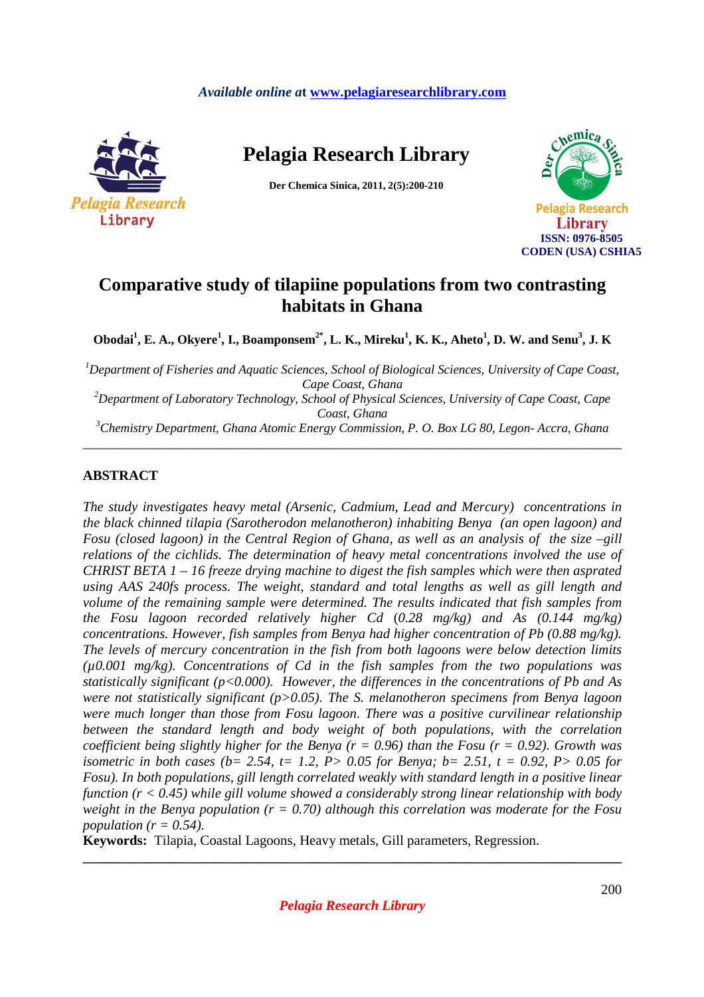## *Available online a***t www.pelagiaresearchlibrary.com**



**Pelagia Research Library** 

**Der Chemica Sinica, 2011, 2(5):200-210** 



# **Comparative study of tilapiine populations from two contrasting habitats in Ghana**

**Obodai<sup>1</sup> , E. A., Okyere<sup>1</sup> , I., Boamponsem2\*, L. K., Mireku<sup>1</sup> , K. K., Aheto<sup>1</sup> , D. W. and Senu<sup>3</sup> , J. K** 

*<sup>1</sup>Department of Fisheries and Aquatic Sciences, School of Biological Sciences, University of Cape Coast, Cape Coast, Ghana* 

*<sup>2</sup>Department of Laboratory Technology, School of Physical Sciences, University of Cape Coast, Cape Coast, Ghana* 

*<sup>3</sup>Chemistry Department, Ghana Atomic Energy Commission, P. O. Box LG 80, Legon- Accra, Ghana*  \_\_\_\_\_\_\_\_\_\_\_\_\_\_\_\_\_\_\_\_\_\_\_\_\_\_\_\_\_\_\_\_\_\_\_\_\_\_\_\_\_\_\_\_\_\_\_\_\_\_\_\_\_\_\_\_\_\_\_\_\_\_\_\_\_\_\_\_\_\_\_\_\_\_\_\_\_\_

# **ABSTRACT**

*The study investigates heavy metal (Arsenic, Cadmium, Lead and Mercury) concentrations in the black chinned tilapia (Sarotherodon melanotheron) inhabiting Benya (an open lagoon) and Fosu (closed lagoon) in the Central Region of Ghana, as well as an analysis of the size –gill relations of the cichlids. The determination of heavy metal concentrations involved the use of CHRIST BETA 1 – 16 freeze drying machine to digest the fish samples which were then asprated using AAS 240fs process. The weight, standard and total lengths as well as gill length and volume of the remaining sample were determined. The results indicated that fish samples from the Fosu lagoon recorded relatively higher Cd* (*0.28 mg/kg) and As (0.144 mg/kg) concentrations. However, fish samples from Benya had higher concentration of Pb (0.88 mg/kg). The levels of mercury concentration in the fish from both lagoons were below detection limits (µ0.001 mg/kg). Concentrations of Cd in the fish samples from the two populations was statistically significant (p<0.000). However, the differences in the concentrations of Pb and As were not statistically significant (p>0.05). The S. melanotheron specimens from Benya lagoon were much longer than those from Fosu lagoon*. *There was a positive curvilinear relationship between the standard length and body weight of both populations, with the correlation coefficient being slightly higher for the Benya (r = 0.96) than the Fosu (r = 0.92). Growth was isometric in both cases (b= 2.54, t= 1.2, P> 0.05 for Benya; b= 2.51, t = 0.92, P> 0.05 for Fosu). In both populations, gill length correlated weakly with standard length in a positive linear function (r < 0.45) while gill volume showed a considerably strong linear relationship with body weight in the Benya population (r = 0.70) although this correlation was moderate for the Fosu population* ( $r = 0.54$ ).

**Keywords:** Tilapia, Coastal Lagoons, Heavy metals, Gill parameters, Regression.

**\_\_\_\_\_\_\_\_\_\_\_\_\_\_\_\_\_\_\_\_\_\_\_\_\_\_\_\_\_\_\_\_\_\_\_\_\_\_\_\_\_\_\_\_\_\_\_\_\_\_\_\_\_\_\_\_\_\_\_\_\_\_\_\_\_\_\_\_\_\_\_\_\_\_\_\_\_\_**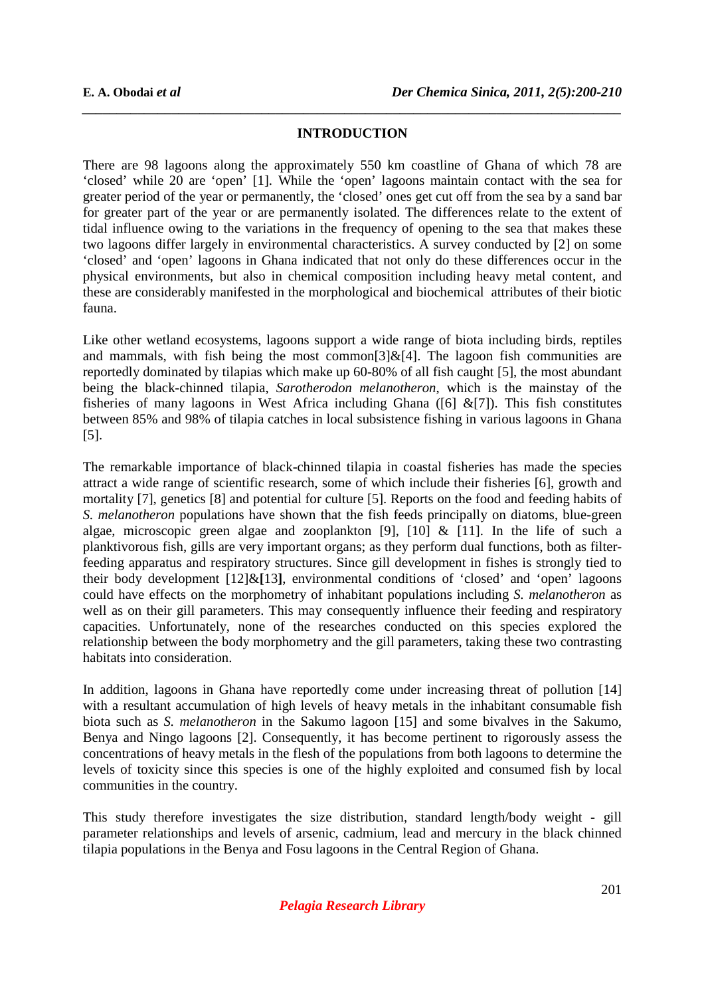### **INTRODUCTION**

*\_\_\_\_\_\_\_\_\_\_\_\_\_\_\_\_\_\_\_\_\_\_\_\_\_\_\_\_\_\_\_\_\_\_\_\_\_\_\_\_\_\_\_\_\_\_\_\_\_\_\_\_\_\_\_\_\_\_\_\_\_\_\_\_\_\_\_\_\_\_\_\_\_\_\_\_\_\_*

There are 98 lagoons along the approximately 550 km coastline of Ghana of which 78 are 'closed' while 20 are 'open' [1]. While the 'open' lagoons maintain contact with the sea for greater period of the year or permanently, the 'closed' ones get cut off from the sea by a sand bar for greater part of the year or are permanently isolated. The differences relate to the extent of tidal influence owing to the variations in the frequency of opening to the sea that makes these two lagoons differ largely in environmental characteristics. A survey conducted by [2] on some 'closed' and 'open' lagoons in Ghana indicated that not only do these differences occur in the physical environments, but also in chemical composition including heavy metal content, and these are considerably manifested in the morphological and biochemical attributes of their biotic fauna.

Like other wetland ecosystems, lagoons support a wide range of biota including birds, reptiles and mammals, with fish being the most common [3] & [4]. The lagoon fish communities are reportedly dominated by tilapias which make up 60-80% of all fish caught [5], the most abundant being the black-chinned tilapia, *Sarotherodon melanotheron*, which is the mainstay of the fisheries of many lagoons in West Africa including Ghana  $(6)$  &[7]). This fish constitutes between 85% and 98% of tilapia catches in local subsistence fishing in various lagoons in Ghana [5].

The remarkable importance of black-chinned tilapia in coastal fisheries has made the species attract a wide range of scientific research, some of which include their fisheries [6], growth and mortality [7], genetics [8] and potential for culture [5]. Reports on the food and feeding habits of *S. melanotheron* populations have shown that the fish feeds principally on diatoms, blue-green algae, microscopic green algae and zooplankton [9], [10] & [11]. In the life of such a planktivorous fish, gills are very important organs; as they perform dual functions, both as filterfeeding apparatus and respiratory structures. Since gill development in fishes is strongly tied to their body development [12]&**[**13**]**, environmental conditions of 'closed' and 'open' lagoons could have effects on the morphometry of inhabitant populations including *S. melanotheron* as well as on their gill parameters. This may consequently influence their feeding and respiratory capacities. Unfortunately, none of the researches conducted on this species explored the relationship between the body morphometry and the gill parameters, taking these two contrasting habitats into consideration.

In addition, lagoons in Ghana have reportedly come under increasing threat of pollution [14] with a resultant accumulation of high levels of heavy metals in the inhabitant consumable fish biota such as *S. melanotheron* in the Sakumo lagoon [15] and some bivalves in the Sakumo, Benya and Ningo lagoons [2]. Consequently, it has become pertinent to rigorously assess the concentrations of heavy metals in the flesh of the populations from both lagoons to determine the levels of toxicity since this species is one of the highly exploited and consumed fish by local communities in the country.

This study therefore investigates the size distribution, standard length/body weight - gill parameter relationships and levels of arsenic, cadmium, lead and mercury in the black chinned tilapia populations in the Benya and Fosu lagoons in the Central Region of Ghana.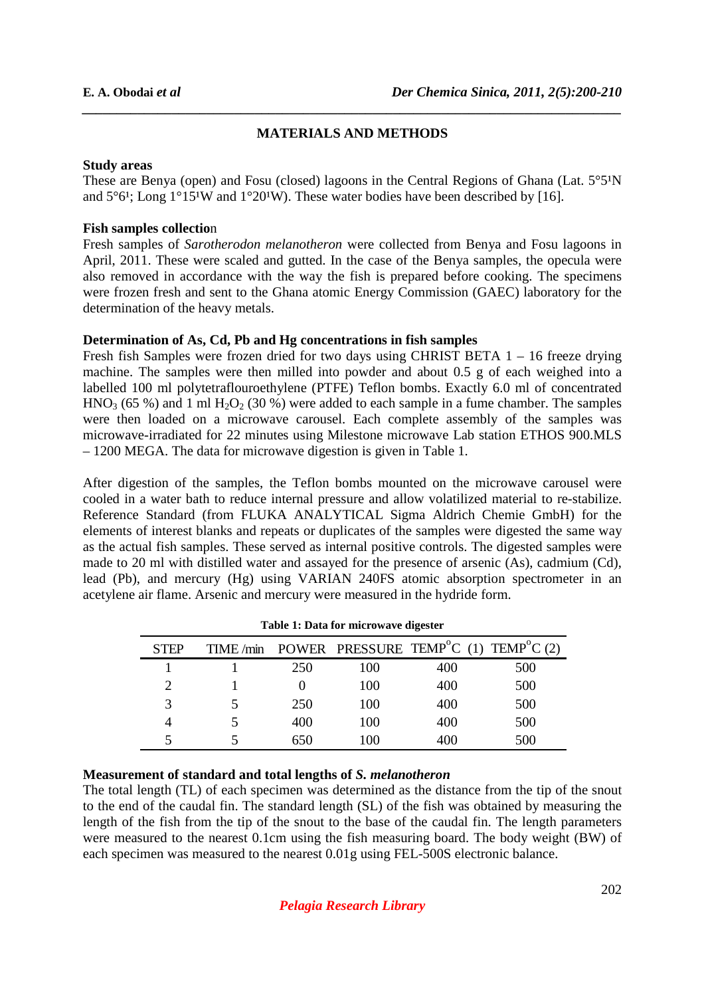### **MATERIALS AND METHODS**

*\_\_\_\_\_\_\_\_\_\_\_\_\_\_\_\_\_\_\_\_\_\_\_\_\_\_\_\_\_\_\_\_\_\_\_\_\_\_\_\_\_\_\_\_\_\_\_\_\_\_\_\_\_\_\_\_\_\_\_\_\_\_\_\_\_\_\_\_\_\_\_\_\_\_\_\_\_\_*

#### **Study areas**

These are Benya (open) and Fosu (closed) lagoons in the Central Regions of Ghana (Lat.  $5^{\circ}5^{\prime}N$ and  $5^{\circ}6^{\prime}$ ; Long  $1^{\circ}15^{\prime}$ W and  $1^{\circ}20^{\prime}$ W). These water bodies have been described by [16].

#### **Fish samples collectio**n

Fresh samples of *Sarotherodon melanotheron* were collected from Benya and Fosu lagoons in April, 2011. These were scaled and gutted. In the case of the Benya samples, the opecula were also removed in accordance with the way the fish is prepared before cooking. The specimens were frozen fresh and sent to the Ghana atomic Energy Commission (GAEC) laboratory for the determination of the heavy metals.

#### **Determination of As, Cd, Pb and Hg concentrations in fish samples**

Fresh fish Samples were frozen dried for two days using CHRIST BETA 1 – 16 freeze drying machine. The samples were then milled into powder and about 0.5 g of each weighed into a labelled 100 ml polytetraflouroethylene (PTFE) Teflon bombs. Exactly 6.0 ml of concentrated  $HNO<sub>3</sub>$  (65 %) and 1 ml  $H<sub>2</sub>O<sub>2</sub>$  (30 %) were added to each sample in a fume chamber. The samples were then loaded on a microwave carousel. Each complete assembly of the samples was microwave-irradiated for 22 minutes using Milestone microwave Lab station ETHOS 900.MLS – 1200 MEGA. The data for microwave digestion is given in Table 1.

After digestion of the samples, the Teflon bombs mounted on the microwave carousel were cooled in a water bath to reduce internal pressure and allow volatilized material to re-stabilize. Reference Standard (from FLUKA ANALYTICAL Sigma Aldrich Chemie GmbH) for the elements of interest blanks and repeats or duplicates of the samples were digested the same way as the actual fish samples. These served as internal positive controls. The digested samples were made to 20 ml with distilled water and assayed for the presence of arsenic (As), cadmium (Cd), lead (Pb), and mercury (Hg) using VARIAN 240FS atomic absorption spectrometer in an acetylene air flame. Arsenic and mercury were measured in the hydride form.

| Tuble 1: Dum for initial and algebrar |  |     |     |                                                                         |     |  |  |
|---------------------------------------|--|-----|-----|-------------------------------------------------------------------------|-----|--|--|
| <b>STEP</b>                           |  |     |     | TIME/min POWER PRESSURE TEMP <sup>°</sup> C (1) TEMP <sup>°</sup> C (2) |     |  |  |
|                                       |  | 250 | 100 | 400                                                                     | 500 |  |  |
|                                       |  |     | 100 | 400                                                                     | 500 |  |  |
| 3                                     |  | 250 | 100 | 400                                                                     | 500 |  |  |
|                                       |  | 400 | 100 | 400                                                                     | 500 |  |  |
|                                       |  | 650 | 100 | 400                                                                     | 500 |  |  |

|  |  |  | Table 1: Data for microwave digester |  |
|--|--|--|--------------------------------------|--|
|--|--|--|--------------------------------------|--|

#### **Measurement of standard and total lengths of** *S. melanotheron*

The total length (TL) of each specimen was determined as the distance from the tip of the snout to the end of the caudal fin. The standard length (SL) of the fish was obtained by measuring the length of the fish from the tip of the snout to the base of the caudal fin. The length parameters were measured to the nearest 0.1cm using the fish measuring board. The body weight (BW) of each specimen was measured to the nearest 0.01g using FEL-500S electronic balance.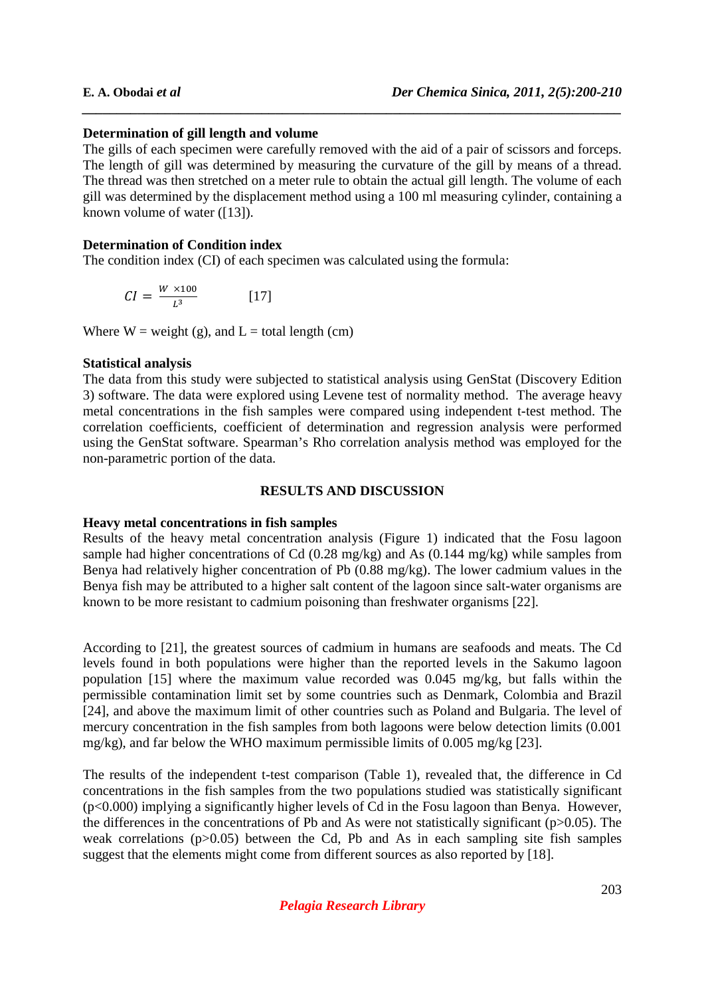### **Determination of gill length and volume**

The gills of each specimen were carefully removed with the aid of a pair of scissors and forceps. The length of gill was determined by measuring the curvature of the gill by means of a thread. The thread was then stretched on a meter rule to obtain the actual gill length. The volume of each gill was determined by the displacement method using a 100 ml measuring cylinder, containing a known volume of water ([13]).

*\_\_\_\_\_\_\_\_\_\_\_\_\_\_\_\_\_\_\_\_\_\_\_\_\_\_\_\_\_\_\_\_\_\_\_\_\_\_\_\_\_\_\_\_\_\_\_\_\_\_\_\_\_\_\_\_\_\_\_\_\_\_\_\_\_\_\_\_\_\_\_\_\_\_\_\_\_\_*

#### **Determination of Condition index**

The condition index (CI) of each specimen was calculated using the formula:

$$
CI = \frac{W \times 100}{L^3} \quad [17]
$$

Where  $W = weight(g)$ , and  $L = total length(cm)$ 

#### **Statistical analysis**

The data from this study were subjected to statistical analysis using GenStat (Discovery Edition 3) software. The data were explored using Levene test of normality method. The average heavy metal concentrations in the fish samples were compared using independent t-test method. The correlation coefficients, coefficient of determination and regression analysis were performed using the GenStat software. Spearman's Rho correlation analysis method was employed for the non-parametric portion of the data.

#### **RESULTS AND DISCUSSION**

#### **Heavy metal concentrations in fish samples**

Results of the heavy metal concentration analysis (Figure 1) indicated that the Fosu lagoon sample had higher concentrations of Cd (0.28 mg/kg) and As (0.144 mg/kg) while samples from Benya had relatively higher concentration of Pb (0.88 mg/kg). The lower cadmium values in the Benya fish may be attributed to a higher salt content of the lagoon since salt-water organisms are known to be more resistant to cadmium poisoning than freshwater organisms [22].

According to [21], the greatest sources of cadmium in humans are seafoods and meats. The Cd levels found in both populations were higher than the reported levels in the Sakumo lagoon population [15] where the maximum value recorded was 0.045 mg/kg, but falls within the permissible contamination limit set by some countries such as Denmark, Colombia and Brazil [24], and above the maximum limit of other countries such as Poland and Bulgaria. The level of mercury concentration in the fish samples from both lagoons were below detection limits (0.001 mg/kg), and far below the WHO maximum permissible limits of 0.005 mg/kg [23].

The results of the independent t-test comparison (Table 1), revealed that, the difference in Cd concentrations in the fish samples from the two populations studied was statistically significant (p<0.000) implying a significantly higher levels of Cd in the Fosu lagoon than Benya. However, the differences in the concentrations of Pb and As were not statistically significant  $(p>0.05)$ . The weak correlations (p>0.05) between the Cd, Pb and As in each sampling site fish samples suggest that the elements might come from different sources as also reported by [18].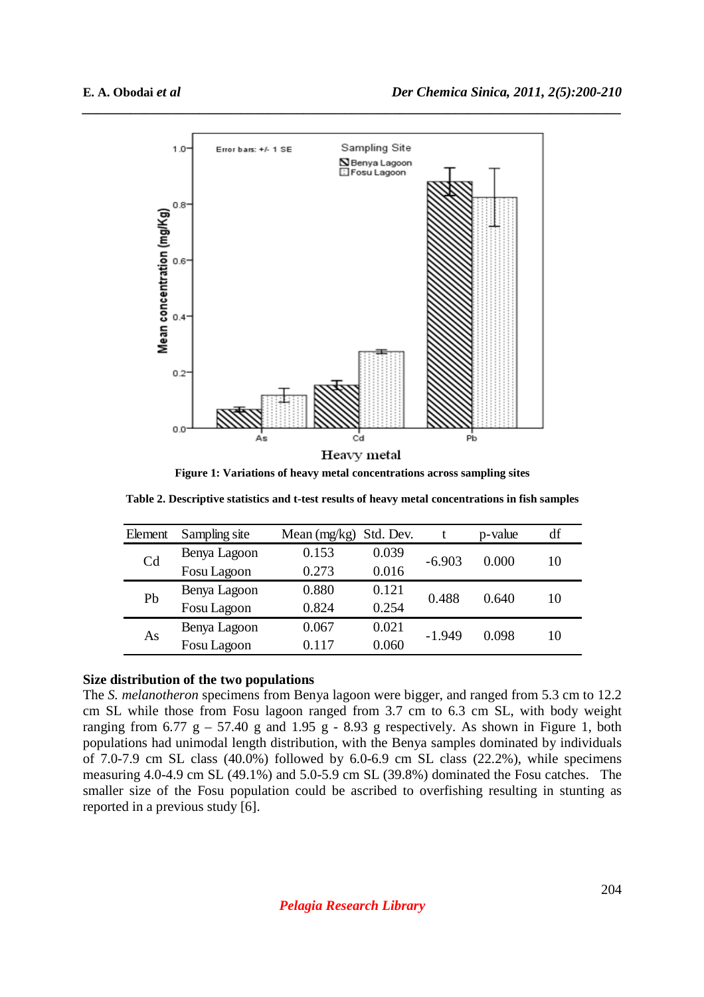

**Figure 1: Variations of heavy metal concentrations across sampling sites** 

**Table 2. Descriptive statistics and t-test results of heavy metal concentrations in fish samples** 

| Element        | Sampling site | Mean $(mg/kg)$ | Std. Dev. |          | p-value | df |
|----------------|---------------|----------------|-----------|----------|---------|----|
| C <sub>d</sub> | Benya Lagoon  | 0.153          | 0.039     | $-6.903$ | 0.000   | 10 |
|                | Fosu Lagoon   | 0.273          | 0.016     |          |         |    |
| Pb             | Benya Lagoon  | 0.880          | 0.121     | 0.488    | 0.640   | 10 |
|                | Fosu Lagoon   | 0.824          | 0.254     |          |         |    |
|                | Benya Lagoon  | 0.067          | 0.021     | $-1.949$ | 0.098   | 10 |
| As             | Fosu Lagoon   | 0.117          | 0.060     |          |         |    |
|                |               |                |           |          |         |    |

#### **Size distribution of the two populations**

The *S. melanotheron* specimens from Benya lagoon were bigger, and ranged from 5.3 cm to 12.2 cm SL while those from Fosu lagoon ranged from 3.7 cm to 6.3 cm SL, with body weight ranging from 6.77 g – 57.40 g and 1.95 g - 8.93 g respectively. As shown in Figure 1, both populations had unimodal length distribution, with the Benya samples dominated by individuals of 7.0-7.9 cm SL class  $(40.0\%)$  followed by 6.0-6.9 cm SL class  $(22.2\%)$ , while specimens measuring 4.0-4.9 cm SL (49.1%) and 5.0-5.9 cm SL (39.8%) dominated the Fosu catches. The smaller size of the Fosu population could be ascribed to overfishing resulting in stunting as reported in a previous study [6].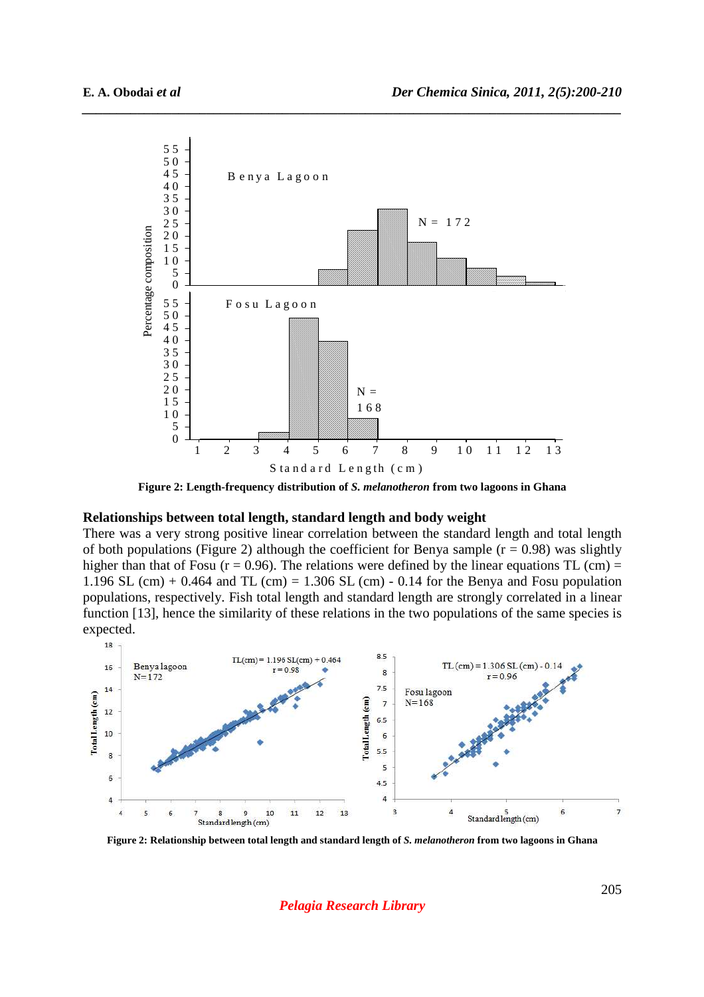

**Figure 2: Length-frequency distribution of** *S. melanotheron* **from two lagoons in Ghana** 

#### **Relationships between total length, standard length and body weight**

There was a very strong positive linear correlation between the standard length and total length of both populations (Figure 2) although the coefficient for Benya sample ( $r = 0.98$ ) was slightly higher than that of Fosu ( $r = 0.96$ ). The relations were defined by the linear equations TL (cm) = 1.196 SL (cm) + 0.464 and TL (cm) = 1.306 SL (cm) - 0.14 for the Benya and Fosu population populations, respectively. Fish total length and standard length are strongly correlated in a linear function [13], hence the similarity of these relations in the two populations of the same species is expected.

![](_page_5_Figure_6.jpeg)

**Figure 2: Relationship between total length and standard length of** *S. melanotheron* **from two lagoons in Ghana** 

*Pelagia Research Library*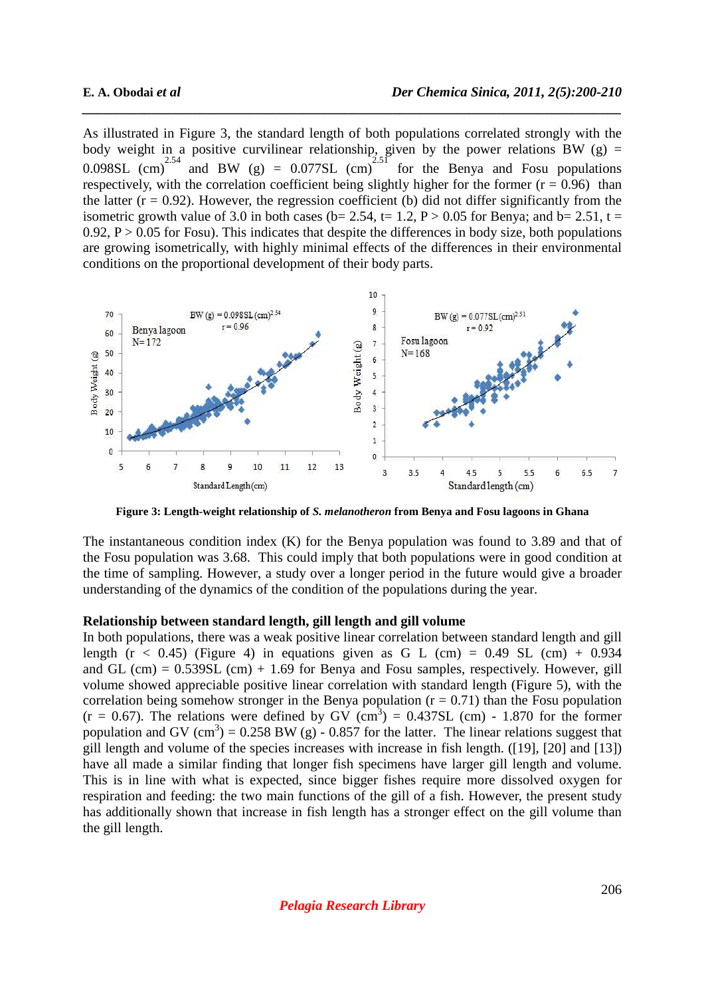As illustrated in Figure 3, the standard length of both populations correlated strongly with the body weight in a positive curvilinear relationship, given by the power relations BW (g) = 0.098SL (cm)<sup>2.54</sup> and BW (g) = 0.077SL (cm)<sup>2.51</sup> for the Benya and Fosu populations respectively, with the correlation coefficient being slightly higher for the former  $(r = 0.96)$  than the latter  $(r = 0.92)$ . However, the regression coefficient (b) did not differ significantly from the isometric growth value of 3.0 in both cases (b= 2.54, t= 1.2, P > 0.05 for Benya; and b= 2.51, t = 0.92,  $P > 0.05$  for Fosu). This indicates that despite the differences in body size, both populations are growing isometrically, with highly minimal effects of the differences in their environmental conditions on the proportional development of their body parts.

*\_\_\_\_\_\_\_\_\_\_\_\_\_\_\_\_\_\_\_\_\_\_\_\_\_\_\_\_\_\_\_\_\_\_\_\_\_\_\_\_\_\_\_\_\_\_\_\_\_\_\_\_\_\_\_\_\_\_\_\_\_\_\_\_\_\_\_\_\_\_\_\_\_\_\_\_\_\_*

![](_page_6_Figure_3.jpeg)

**Figure 3: Length-weight relationship of** *S. melanotheron* **from Benya and Fosu lagoons in Ghana** 

The instantaneous condition index (K) for the Benya population was found to 3.89 and that of the Fosu population was 3.68. This could imply that both populations were in good condition at the time of sampling. However, a study over a longer period in the future would give a broader understanding of the dynamics of the condition of the populations during the year.

#### **Relationship between standard length, gill length and gill volume**

In both populations, there was a weak positive linear correlation between standard length and gill length ( $r < 0.45$ ) (Figure 4) in equations given as G L (cm) = 0.49 SL (cm) + 0.934 and GL (cm) =  $0.539SL$  (cm) + 1.69 for Benya and Fosu samples, respectively. However, gill volume showed appreciable positive linear correlation with standard length (Figure 5), with the correlation being somehow stronger in the Benya population  $(r = 0.71)$  than the Fosu population  $(r = 0.67)$ . The relations were defined by GV  $(cm^3) = 0.437SL$  (cm) - 1.870 for the former population and GV (cm<sup>3</sup>) = 0.258 BW (g) - 0.857 for the latter. The linear relations suggest that gill length and volume of the species increases with increase in fish length. ([19], [20] and [13]) have all made a similar finding that longer fish specimens have larger gill length and volume. This is in line with what is expected, since bigger fishes require more dissolved oxygen for respiration and feeding: the two main functions of the gill of a fish. However, the present study has additionally shown that increase in fish length has a stronger effect on the gill volume than the gill length.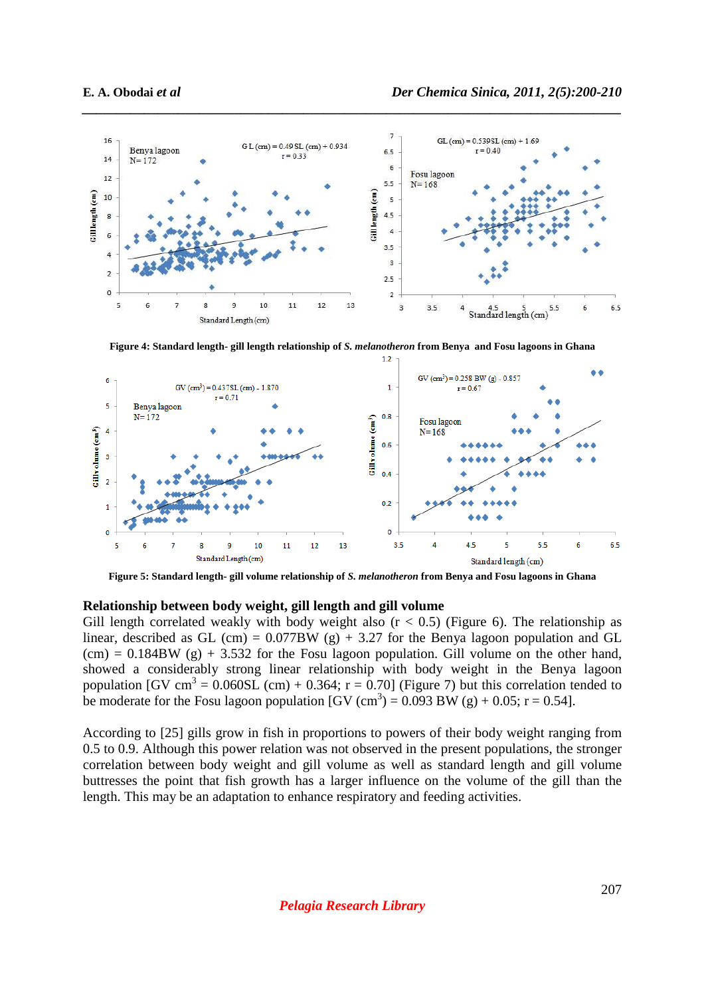![](_page_7_Figure_2.jpeg)

**Figure 4: Standard length- gill length relationship of** *S. melanotheron* **from Benya and Fosu lagoons in Ghana** 

![](_page_7_Figure_4.jpeg)

**Figure 5: Standard length- gill volume relationship of** *S. melanotheron* **from Benya and Fosu lagoons in Ghana** 

#### **Relationship between body weight, gill length and gill volume**

Gill length correlated weakly with body weight also  $(r < 0.5)$  (Figure 6). The relationship as linear, described as GL (cm) =  $0.077BW$  (g) + 3.27 for the Benya lagoon population and GL  $(cm) = 0.184BW$  (g) + 3.532 for the Fosu lagoon population. Gill volume on the other hand, showed a considerably strong linear relationship with body weight in the Benya lagoon population [GV cm<sup>3</sup> = 0.060SL (cm) + 0.364;  $r = 0.70$ ] (Figure 7) but this correlation tended to be moderate for the Fosu lagoon population [GV  $(cm^3) = 0.093$  BW  $(g) + 0.05$ ; r = 0.54].

According to [25] gills grow in fish in proportions to powers of their body weight ranging from 0.5 to 0.9. Although this power relation was not observed in the present populations, the stronger correlation between body weight and gill volume as well as standard length and gill volume buttresses the point that fish growth has a larger influence on the volume of the gill than the length. This may be an adaptation to enhance respiratory and feeding activities.

*Pelagia Research Library*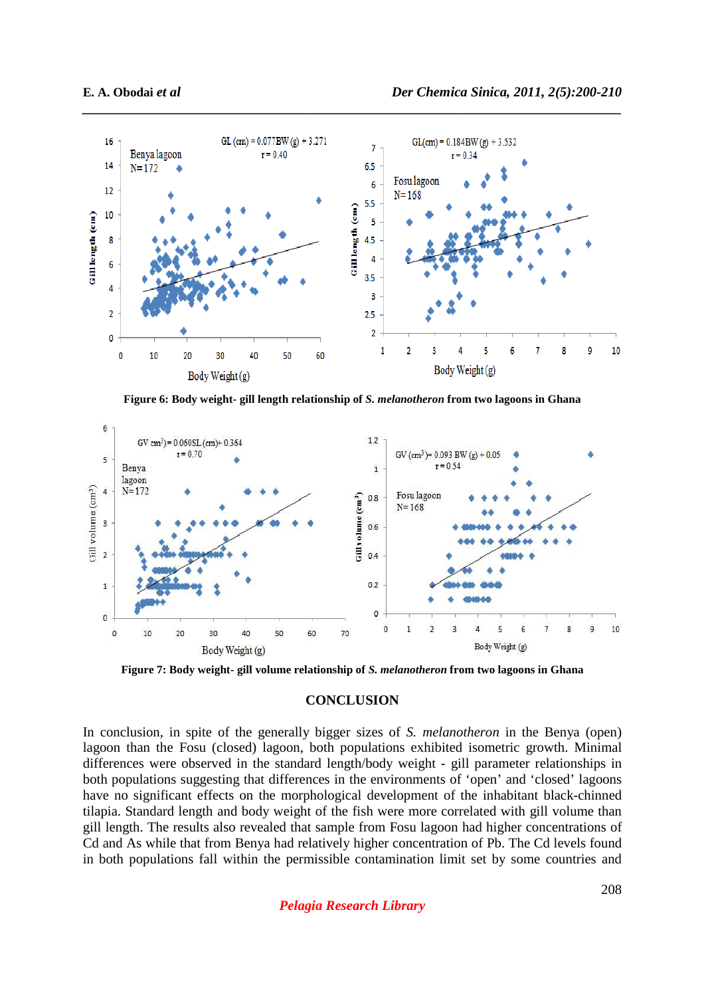![](_page_8_Figure_2.jpeg)

**Figure 6: Body weight- gill length relationship of** *S. melanotheron* **from two lagoons in Ghana** 

![](_page_8_Figure_4.jpeg)

**Figure 7: Body weight- gill volume relationship of** *S. melanotheron* **from two lagoons in Ghana** 

#### **CONCLUSION**

In conclusion, in spite of the generally bigger sizes of *S. melanotheron* in the Benya (open) lagoon than the Fosu (closed) lagoon, both populations exhibited isometric growth. Minimal differences were observed in the standard length/body weight - gill parameter relationships in both populations suggesting that differences in the environments of 'open' and 'closed' lagoons have no significant effects on the morphological development of the inhabitant black-chinned tilapia. Standard length and body weight of the fish were more correlated with gill volume than gill length. The results also revealed that sample from Fosu lagoon had higher concentrations of Cd and As while that from Benya had relatively higher concentration of Pb. The Cd levels found in both populations fall within the permissible contamination limit set by some countries and

*Pelagia Research Library*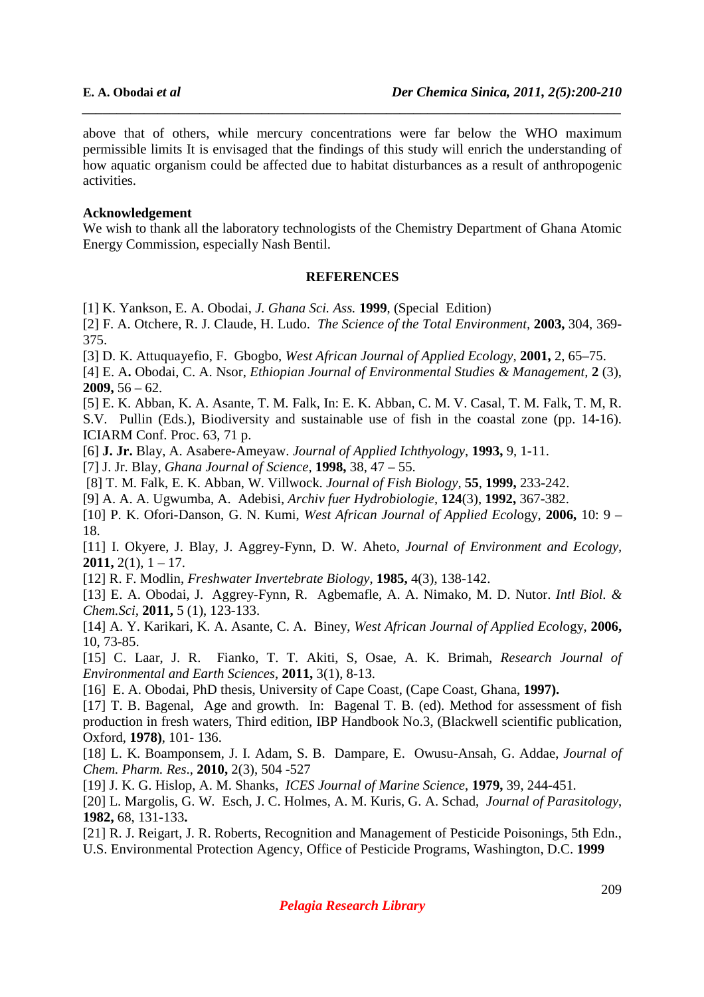above that of others, while mercury concentrations were far below the WHO maximum permissible limits It is envisaged that the findings of this study will enrich the understanding of how aquatic organism could be affected due to habitat disturbances as a result of anthropogenic activities.

*\_\_\_\_\_\_\_\_\_\_\_\_\_\_\_\_\_\_\_\_\_\_\_\_\_\_\_\_\_\_\_\_\_\_\_\_\_\_\_\_\_\_\_\_\_\_\_\_\_\_\_\_\_\_\_\_\_\_\_\_\_\_\_\_\_\_\_\_\_\_\_\_\_\_\_\_\_\_*

#### **Acknowledgement**

We wish to thank all the laboratory technologists of the Chemistry Department of Ghana Atomic Energy Commission, especially Nash Bentil.

#### **REFERENCES**

[1] K. Yankson, E. A. Obodai, *J. Ghana Sci. Ass.* **1999**, (Special Edition)

[2] F. A. Otchere, R. J. Claude, H. Ludo. *The Science of the Total Environment,* **2003,** 304, 369- 375.

[3] D. K. Attuquayefio, F. Gbogbo, *West African Journal of Applied Ecology,* **2001,** 2, 65–75.

[4] E. A**.** Obodai, C. A. Nsor, *Ethiopian Journal of Environmental Studies & Management,* **2** (3), **2009,** 56 – 62.

[5] E. K. Abban, K. A. Asante, T. M. Falk, In: E. K. Abban, C. M. V. Casal, T. M. Falk, T. M, R. S.V. Pullin (Eds.), Biodiversity and sustainable use of fish in the coastal zone (pp. 14-16). ICIARM Conf. Proc. 63, 71 p.

[6] **J. Jr.** Blay, A. Asabere-Ameyaw. *Journal of Applied Ichthyology*, **1993,** 9, 1-11.

[7] J. Jr. Blay, *Ghana Journal of Science,* **1998,** 38, 47 – 55.

[8] T. M. Falk, E. K. Abban, W. Villwock. *Journal of Fish Biology,* **55**, **1999,** 233-242.

[9] A. A. A. Ugwumba, A. Adebisi, *Archiv fuer Hydrobiologie*, **124**(3), **1992,** 367-382.

[10] P. K. Ofori-Danson, G. N. Kumi, *West African Journal of Applied Ecol*ogy, **2006,** 10: 9 – 18.

[11] I. Okyere, J. Blay, J. Aggrey-Fynn, D. W. Aheto, *Journal of Environment and Ecology,* **2011,**  $2(1)$ ,  $1 - 17$ .

[12] R. F. Modlin, *Freshwater Invertebrate Biology*, **1985,** 4(3), 138-142.

[13] E. A. Obodai, J. Aggrey-Fynn, R. Agbemafle, A. A. Nimako, M. D. Nutor. *Intl Biol. & Chem.Sci,* **2011,** 5 (1), 123-133.

[14] A. Y. Karikari, K. A. Asante, C. A. Biney, *West African Journal of Applied Ecol*ogy, **2006,** 10, 73-85.

[15] C. Laar, J. R. Fianko, T. T. Akiti, S, Osae, A. K. Brimah, *Research Journal of Environmental and Earth Sciences*, **2011,** 3(1), 8-13.

[16] E. A. Obodai, PhD thesis, University of Cape Coast, (Cape Coast, Ghana, **1997).**

[17] T. B. Bagenal, Age and growth. In: Bagenal T. B. (ed). Method for assessment of fish production in fresh waters, Third edition, IBP Handbook No.3, (Blackwell scientific publication, Oxford, **1978)**, 101- 136.

[18] L. K. Boamponsem, J. I. Adam, S. B. Dampare, E. Owusu-Ansah, G. Addae, *Journal of Chem. Pharm. Res*., **2010,** 2(3), 504 -527

[19] J. K. G. Hislop, A. M. Shanks, *ICES Journal of Marine Science*, **1979,** 39, 244-451*.*

[20] L. Margolis, G. W. Esch, J. C. Holmes, A. M. Kuris, G. A. Schad, *Journal of Parasitology*, **1982,** 68, 131-133**.** 

[21] R. J. Reigart, J. R. Roberts, Recognition and Management of Pesticide Poisonings, 5th Edn., U.S. Environmental Protection Agency, Office of Pesticide Programs, Washington, D.C. **1999**